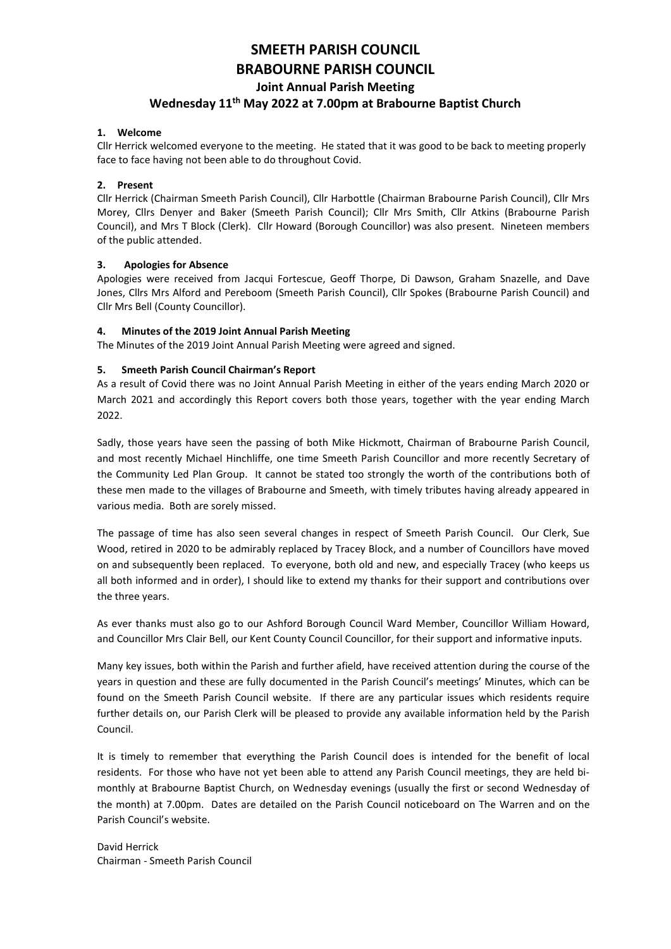# SMEETH PARISH COUNCIL BRABOURNE PARISH COUNCIL Joint Annual Parish Meeting Wednesday 11th May 2022 at 7.00pm at Brabourne Baptist Church

## 1. Welcome

Cllr Herrick welcomed everyone to the meeting. He stated that it was good to be back to meeting properly face to face having not been able to do throughout Covid.

#### 2. Present

Cllr Herrick (Chairman Smeeth Parish Council), Cllr Harbottle (Chairman Brabourne Parish Council), Cllr Mrs Morey, Cllrs Denyer and Baker (Smeeth Parish Council); Cllr Mrs Smith, Cllr Atkins (Brabourne Parish Council), and Mrs T Block (Clerk). Cllr Howard (Borough Councillor) was also present. Nineteen members of the public attended.

#### 3. Apologies for Absence

Apologies were received from Jacqui Fortescue, Geoff Thorpe, Di Dawson, Graham Snazelle, and Dave Jones, Cllrs Mrs Alford and Pereboom (Smeeth Parish Council), Cllr Spokes (Brabourne Parish Council) and Cllr Mrs Bell (County Councillor).

#### 4. Minutes of the 2019 Joint Annual Parish Meeting

The Minutes of the 2019 Joint Annual Parish Meeting were agreed and signed.

#### 5. Smeeth Parish Council Chairman's Report

As a result of Covid there was no Joint Annual Parish Meeting in either of the years ending March 2020 or March 2021 and accordingly this Report covers both those years, together with the year ending March 2022.

Sadly, those years have seen the passing of both Mike Hickmott, Chairman of Brabourne Parish Council, and most recently Michael Hinchliffe, one time Smeeth Parish Councillor and more recently Secretary of the Community Led Plan Group. It cannot be stated too strongly the worth of the contributions both of these men made to the villages of Brabourne and Smeeth, with timely tributes having already appeared in various media. Both are sorely missed.

The passage of time has also seen several changes in respect of Smeeth Parish Council. Our Clerk, Sue Wood, retired in 2020 to be admirably replaced by Tracey Block, and a number of Councillors have moved on and subsequently been replaced. To everyone, both old and new, and especially Tracey (who keeps us all both informed and in order), I should like to extend my thanks for their support and contributions over the three years.

As ever thanks must also go to our Ashford Borough Council Ward Member, Councillor William Howard, and Councillor Mrs Clair Bell, our Kent County Council Councillor, for their support and informative inputs.

Many key issues, both within the Parish and further afield, have received attention during the course of the years in question and these are fully documented in the Parish Council's meetings' Minutes, which can be found on the Smeeth Parish Council website. If there are any particular issues which residents require further details on, our Parish Clerk will be pleased to provide any available information held by the Parish Council.

It is timely to remember that everything the Parish Council does is intended for the benefit of local residents. For those who have not yet been able to attend any Parish Council meetings, they are held bimonthly at Brabourne Baptist Church, on Wednesday evenings (usually the first or second Wednesday of the month) at 7.00pm. Dates are detailed on the Parish Council noticeboard on The Warren and on the Parish Council's website.

David Herrick Chairman - Smeeth Parish Council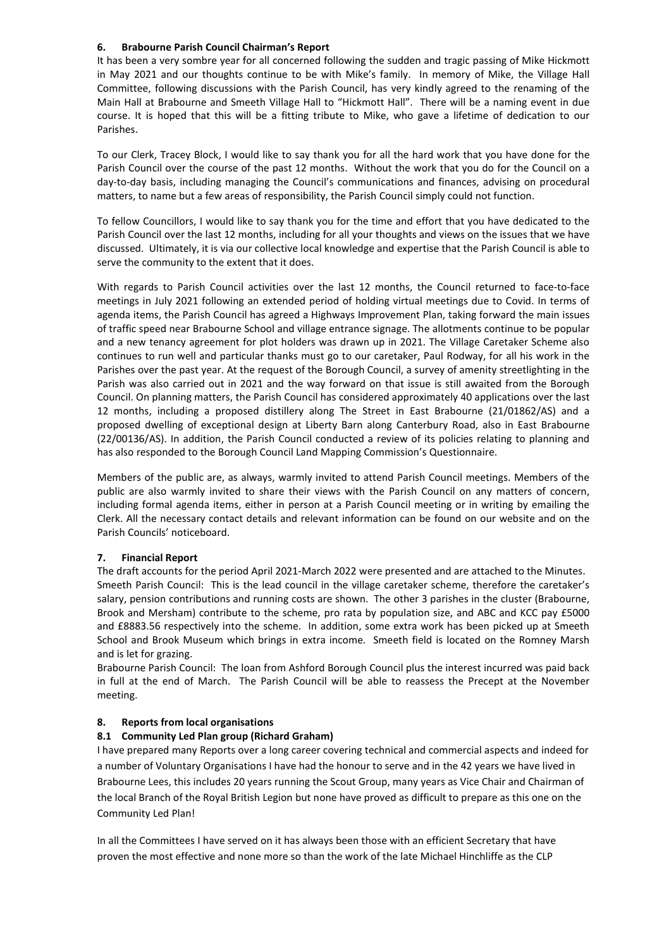## 6. Brabourne Parish Council Chairman's Report

It has been a very sombre year for all concerned following the sudden and tragic passing of Mike Hickmott in May 2021 and our thoughts continue to be with Mike's family. In memory of Mike, the Village Hall Committee, following discussions with the Parish Council, has very kindly agreed to the renaming of the Main Hall at Brabourne and Smeeth Village Hall to "Hickmott Hall". There will be a naming event in due course. It is hoped that this will be a fitting tribute to Mike, who gave a lifetime of dedication to our Parishes.

To our Clerk, Tracey Block, I would like to say thank you for all the hard work that you have done for the Parish Council over the course of the past 12 months. Without the work that you do for the Council on a day-to-day basis, including managing the Council's communications and finances, advising on procedural matters, to name but a few areas of responsibility, the Parish Council simply could not function.

To fellow Councillors, I would like to say thank you for the time and effort that you have dedicated to the Parish Council over the last 12 months, including for all your thoughts and views on the issues that we have discussed. Ultimately, it is via our collective local knowledge and expertise that the Parish Council is able to serve the community to the extent that it does.

With regards to Parish Council activities over the last 12 months, the Council returned to face-to-face meetings in July 2021 following an extended period of holding virtual meetings due to Covid. In terms of agenda items, the Parish Council has agreed a Highways Improvement Plan, taking forward the main issues of traffic speed near Brabourne School and village entrance signage. The allotments continue to be popular and a new tenancy agreement for plot holders was drawn up in 2021. The Village Caretaker Scheme also continues to run well and particular thanks must go to our caretaker, Paul Rodway, for all his work in the Parishes over the past year. At the request of the Borough Council, a survey of amenity streetlighting in the Parish was also carried out in 2021 and the way forward on that issue is still awaited from the Borough Council. On planning matters, the Parish Council has considered approximately 40 applications over the last 12 months, including a proposed distillery along The Street in East Brabourne (21/01862/AS) and a proposed dwelling of exceptional design at Liberty Barn along Canterbury Road, also in East Brabourne (22/00136/AS). In addition, the Parish Council conducted a review of its policies relating to planning and has also responded to the Borough Council Land Mapping Commission's Questionnaire.

Members of the public are, as always, warmly invited to attend Parish Council meetings. Members of the public are also warmly invited to share their views with the Parish Council on any matters of concern, including formal agenda items, either in person at a Parish Council meeting or in writing by emailing the Clerk. All the necessary contact details and relevant information can be found on our website and on the Parish Councils' noticeboard.

## 7. Financial Report

The draft accounts for the period April 2021-March 2022 were presented and are attached to the Minutes. Smeeth Parish Council: This is the lead council in the village caretaker scheme, therefore the caretaker's salary, pension contributions and running costs are shown. The other 3 parishes in the cluster (Brabourne, Brook and Mersham) contribute to the scheme, pro rata by population size, and ABC and KCC pay £5000 and £8883.56 respectively into the scheme. In addition, some extra work has been picked up at Smeeth School and Brook Museum which brings in extra income. Smeeth field is located on the Romney Marsh and is let for grazing.

Brabourne Parish Council: The loan from Ashford Borough Council plus the interest incurred was paid back in full at the end of March. The Parish Council will be able to reassess the Precept at the November meeting.

## 8. Reports from local organisations

## 8.1 Community Led Plan group (Richard Graham)

I have prepared many Reports over a long career covering technical and commercial aspects and indeed for a number of Voluntary Organisations I have had the honour to serve and in the 42 years we have lived in Brabourne Lees, this includes 20 years running the Scout Group, many years as Vice Chair and Chairman of the local Branch of the Royal British Legion but none have proved as difficult to prepare as this one on the Community Led Plan!

In all the Committees I have served on it has always been those with an efficient Secretary that have proven the most effective and none more so than the work of the late Michael Hinchliffe as the CLP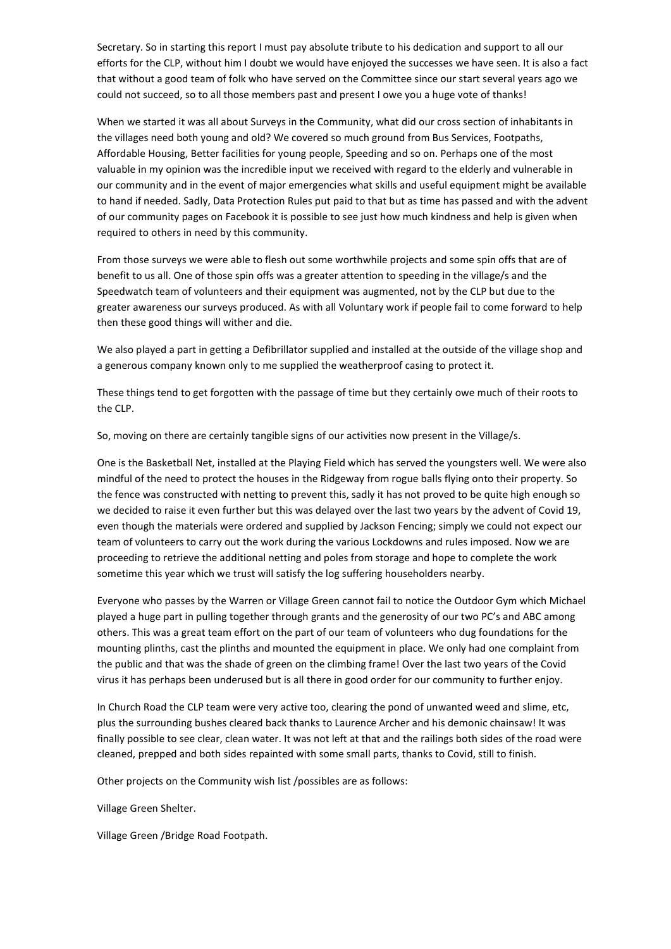Secretary. So in starting this report I must pay absolute tribute to his dedication and support to all our efforts for the CLP, without him I doubt we would have enjoyed the successes we have seen. It is also a fact that without a good team of folk who have served on the Committee since our start several years ago we could not succeed, so to all those members past and present I owe you a huge vote of thanks!

When we started it was all about Surveys in the Community, what did our cross section of inhabitants in the villages need both young and old? We covered so much ground from Bus Services, Footpaths, Affordable Housing, Better facilities for young people, Speeding and so on. Perhaps one of the most valuable in my opinion was the incredible input we received with regard to the elderly and vulnerable in our community and in the event of major emergencies what skills and useful equipment might be available to hand if needed. Sadly, Data Protection Rules put paid to that but as time has passed and with the advent of our community pages on Facebook it is possible to see just how much kindness and help is given when required to others in need by this community.

From those surveys we were able to flesh out some worthwhile projects and some spin offs that are of benefit to us all. One of those spin offs was a greater attention to speeding in the village/s and the Speedwatch team of volunteers and their equipment was augmented, not by the CLP but due to the greater awareness our surveys produced. As with all Voluntary work if people fail to come forward to help then these good things will wither and die.

We also played a part in getting a Defibrillator supplied and installed at the outside of the village shop and a generous company known only to me supplied the weatherproof casing to protect it.

These things tend to get forgotten with the passage of time but they certainly owe much of their roots to the CLP.

So, moving on there are certainly tangible signs of our activities now present in the Village/s.

One is the Basketball Net, installed at the Playing Field which has served the youngsters well. We were also mindful of the need to protect the houses in the Ridgeway from rogue balls flying onto their property. So the fence was constructed with netting to prevent this, sadly it has not proved to be quite high enough so we decided to raise it even further but this was delayed over the last two years by the advent of Covid 19, even though the materials were ordered and supplied by Jackson Fencing; simply we could not expect our team of volunteers to carry out the work during the various Lockdowns and rules imposed. Now we are proceeding to retrieve the additional netting and poles from storage and hope to complete the work sometime this year which we trust will satisfy the log suffering householders nearby.

Everyone who passes by the Warren or Village Green cannot fail to notice the Outdoor Gym which Michael played a huge part in pulling together through grants and the generosity of our two PC's and ABC among others. This was a great team effort on the part of our team of volunteers who dug foundations for the mounting plinths, cast the plinths and mounted the equipment in place. We only had one complaint from the public and that was the shade of green on the climbing frame! Over the last two years of the Covid virus it has perhaps been underused but is all there in good order for our community to further enjoy.

In Church Road the CLP team were very active too, clearing the pond of unwanted weed and slime, etc, plus the surrounding bushes cleared back thanks to Laurence Archer and his demonic chainsaw! It was finally possible to see clear, clean water. It was not left at that and the railings both sides of the road were cleaned, prepped and both sides repainted with some small parts, thanks to Covid, still to finish.

Other projects on the Community wish list /possibles are as follows:

Village Green Shelter.

Village Green /Bridge Road Footpath.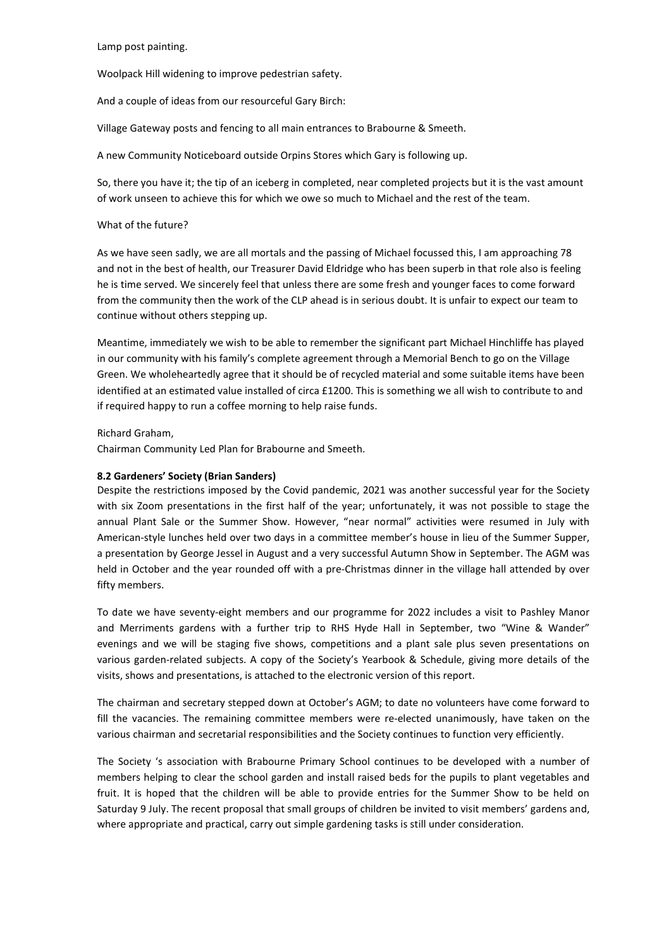Lamp post painting.

Woolpack Hill widening to improve pedestrian safety.

And a couple of ideas from our resourceful Gary Birch:

Village Gateway posts and fencing to all main entrances to Brabourne & Smeeth.

A new Community Noticeboard outside Orpins Stores which Gary is following up.

So, there you have it; the tip of an iceberg in completed, near completed projects but it is the vast amount of work unseen to achieve this for which we owe so much to Michael and the rest of the team.

## What of the future?

As we have seen sadly, we are all mortals and the passing of Michael focussed this, I am approaching 78 and not in the best of health, our Treasurer David Eldridge who has been superb in that role also is feeling he is time served. We sincerely feel that unless there are some fresh and younger faces to come forward from the community then the work of the CLP ahead is in serious doubt. It is unfair to expect our team to continue without others stepping up.

Meantime, immediately we wish to be able to remember the significant part Michael Hinchliffe has played in our community with his family's complete agreement through a Memorial Bench to go on the Village Green. We wholeheartedly agree that it should be of recycled material and some suitable items have been identified at an estimated value installed of circa £1200. This is something we all wish to contribute to and if required happy to run a coffee morning to help raise funds.

## Richard Graham,

Chairman Community Led Plan for Brabourne and Smeeth.

## 8.2 Gardeners' Society (Brian Sanders)

Despite the restrictions imposed by the Covid pandemic, 2021 was another successful year for the Society with six Zoom presentations in the first half of the year; unfortunately, it was not possible to stage the annual Plant Sale or the Summer Show. However, "near normal" activities were resumed in July with American-style lunches held over two days in a committee member's house in lieu of the Summer Supper, a presentation by George Jessel in August and a very successful Autumn Show in September. The AGM was held in October and the year rounded off with a pre-Christmas dinner in the village hall attended by over fifty members.

To date we have seventy-eight members and our programme for 2022 includes a visit to Pashley Manor and Merriments gardens with a further trip to RHS Hyde Hall in September, two "Wine & Wander" evenings and we will be staging five shows, competitions and a plant sale plus seven presentations on various garden-related subjects. A copy of the Society's Yearbook & Schedule, giving more details of the visits, shows and presentations, is attached to the electronic version of this report.

The chairman and secretary stepped down at October's AGM; to date no volunteers have come forward to fill the vacancies. The remaining committee members were re-elected unanimously, have taken on the various chairman and secretarial responsibilities and the Society continues to function very efficiently.

The Society 's association with Brabourne Primary School continues to be developed with a number of members helping to clear the school garden and install raised beds for the pupils to plant vegetables and fruit. It is hoped that the children will be able to provide entries for the Summer Show to be held on Saturday 9 July. The recent proposal that small groups of children be invited to visit members' gardens and, where appropriate and practical, carry out simple gardening tasks is still under consideration.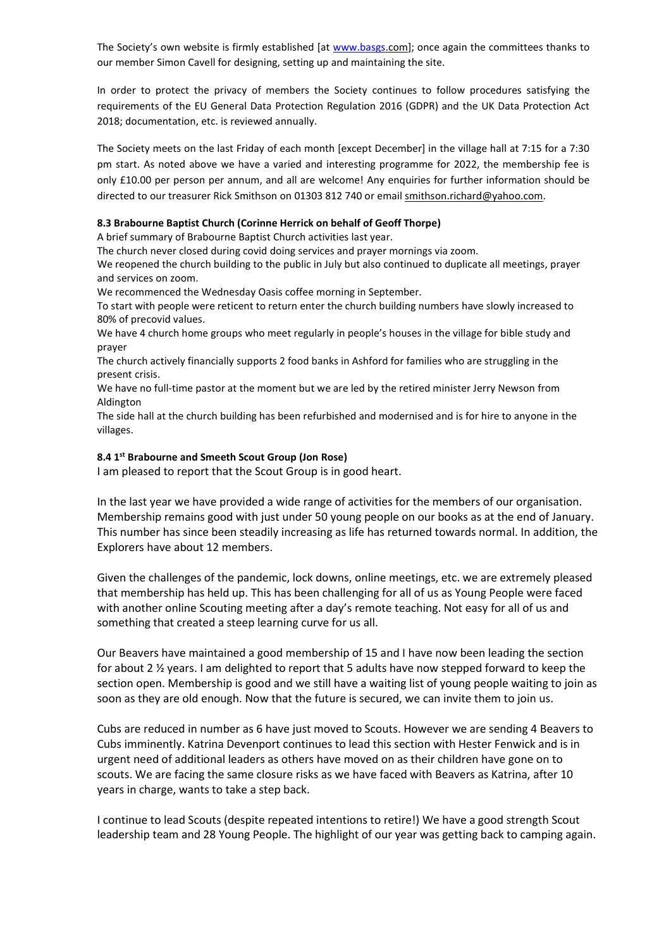The Society's own website is firmly established [at www.basgs.com]; once again the committees thanks to our member Simon Cavell for designing, setting up and maintaining the site.

In order to protect the privacy of members the Society continues to follow procedures satisfying the requirements of the EU General Data Protection Regulation 2016 (GDPR) and the UK Data Protection Act 2018; documentation, etc. is reviewed annually.

The Society meets on the last Friday of each month [except December] in the village hall at 7:15 for a 7:30 pm start. As noted above we have a varied and interesting programme for 2022, the membership fee is only £10.00 per person per annum, and all are welcome! Any enquiries for further information should be directed to our treasurer Rick Smithson on 01303 812 740 or email smithson.richard@yahoo.com.

## 8.3 Brabourne Baptist Church (Corinne Herrick on behalf of Geoff Thorpe)

A brief summary of Brabourne Baptist Church activities last year.

The church never closed during covid doing services and prayer mornings via zoom.

We reopened the church building to the public in July but also continued to duplicate all meetings, prayer and services on zoom.

We recommenced the Wednesday Oasis coffee morning in September.

To start with people were reticent to return enter the church building numbers have slowly increased to 80% of precovid values.

We have 4 church home groups who meet regularly in people's houses in the village for bible study and prayer

The church actively financially supports 2 food banks in Ashford for families who are struggling in the present crisis.

We have no full-time pastor at the moment but we are led by the retired minister Jerry Newson from Aldington

The side hall at the church building has been refurbished and modernised and is for hire to anyone in the villages.

## 8.4 1<sup>st</sup> Brabourne and Smeeth Scout Group (Jon Rose)

I am pleased to report that the Scout Group is in good heart.

In the last year we have provided a wide range of activities for the members of our organisation. Membership remains good with just under 50 young people on our books as at the end of January. This number has since been steadily increasing as life has returned towards normal. In addition, the Explorers have about 12 members.

Given the challenges of the pandemic, lock downs, online meetings, etc. we are extremely pleased that membership has held up. This has been challenging for all of us as Young People were faced with another online Scouting meeting after a day's remote teaching. Not easy for all of us and something that created a steep learning curve for us all.

Our Beavers have maintained a good membership of 15 and I have now been leading the section for about 2 ½ years. I am delighted to report that 5 adults have now stepped forward to keep the section open. Membership is good and we still have a waiting list of young people waiting to join as soon as they are old enough. Now that the future is secured, we can invite them to join us.

Cubs are reduced in number as 6 have just moved to Scouts. However we are sending 4 Beavers to Cubs imminently. Katrina Devenport continues to lead this section with Hester Fenwick and is in urgent need of additional leaders as others have moved on as their children have gone on to scouts. We are facing the same closure risks as we have faced with Beavers as Katrina, after 10 years in charge, wants to take a step back.

I continue to lead Scouts (despite repeated intentions to retire!) We have a good strength Scout leadership team and 28 Young People. The highlight of our year was getting back to camping again.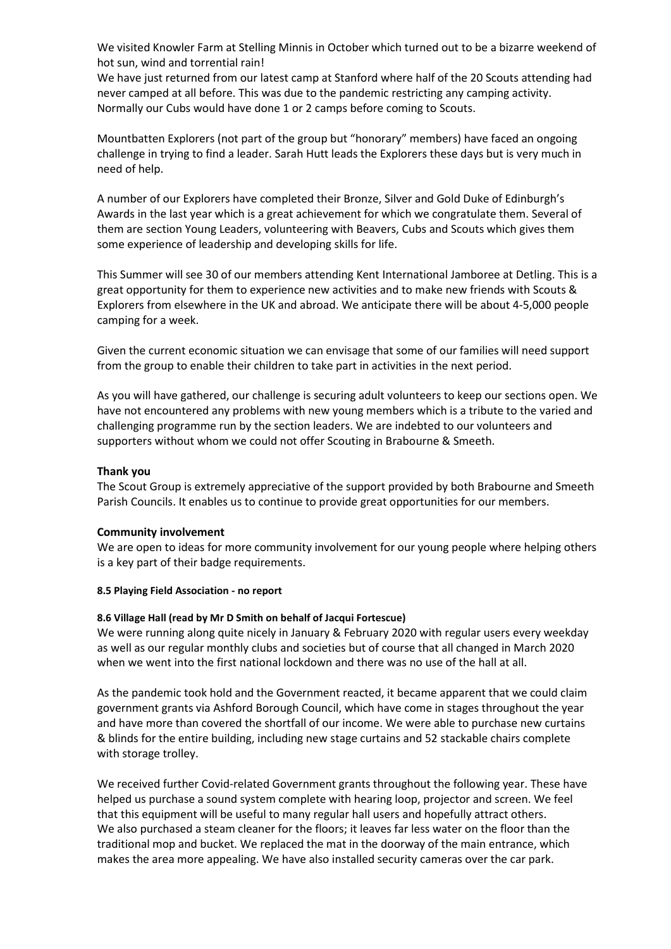We visited Knowler Farm at Stelling Minnis in October which turned out to be a bizarre weekend of hot sun, wind and torrential rain!

We have just returned from our latest camp at Stanford where half of the 20 Scouts attending had never camped at all before. This was due to the pandemic restricting any camping activity. Normally our Cubs would have done 1 or 2 camps before coming to Scouts.

Mountbatten Explorers (not part of the group but "honorary" members) have faced an ongoing challenge in trying to find a leader. Sarah Hutt leads the Explorers these days but is very much in need of help.

A number of our Explorers have completed their Bronze, Silver and Gold Duke of Edinburgh's Awards in the last year which is a great achievement for which we congratulate them. Several of them are section Young Leaders, volunteering with Beavers, Cubs and Scouts which gives them some experience of leadership and developing skills for life.

This Summer will see 30 of our members attending Kent International Jamboree at Detling. This is a great opportunity for them to experience new activities and to make new friends with Scouts & Explorers from elsewhere in the UK and abroad. We anticipate there will be about 4-5,000 people camping for a week.

Given the current economic situation we can envisage that some of our families will need support from the group to enable their children to take part in activities in the next period.

As you will have gathered, our challenge is securing adult volunteers to keep our sections open. We have not encountered any problems with new young members which is a tribute to the varied and challenging programme run by the section leaders. We are indebted to our volunteers and supporters without whom we could not offer Scouting in Brabourne & Smeeth.

## Thank you

The Scout Group is extremely appreciative of the support provided by both Brabourne and Smeeth Parish Councils. It enables us to continue to provide great opportunities for our members.

## Community involvement

We are open to ideas for more community involvement for our young people where helping others is a key part of their badge requirements.

## 8.5 Playing Field Association - no report

## 8.6 Village Hall (read by Mr D Smith on behalf of Jacqui Fortescue)

We were running along quite nicely in January & February 2020 with regular users every weekday as well as our regular monthly clubs and societies but of course that all changed in March 2020 when we went into the first national lockdown and there was no use of the hall at all.

As the pandemic took hold and the Government reacted, it became apparent that we could claim government grants via Ashford Borough Council, which have come in stages throughout the year and have more than covered the shortfall of our income. We were able to purchase new curtains & blinds for the entire building, including new stage curtains and 52 stackable chairs complete with storage trolley.

We received further Covid-related Government grants throughout the following year. These have helped us purchase a sound system complete with hearing loop, projector and screen. We feel that this equipment will be useful to many regular hall users and hopefully attract others. We also purchased a steam cleaner for the floors; it leaves far less water on the floor than the traditional mop and bucket. We replaced the mat in the doorway of the main entrance, which makes the area more appealing. We have also installed security cameras over the car park.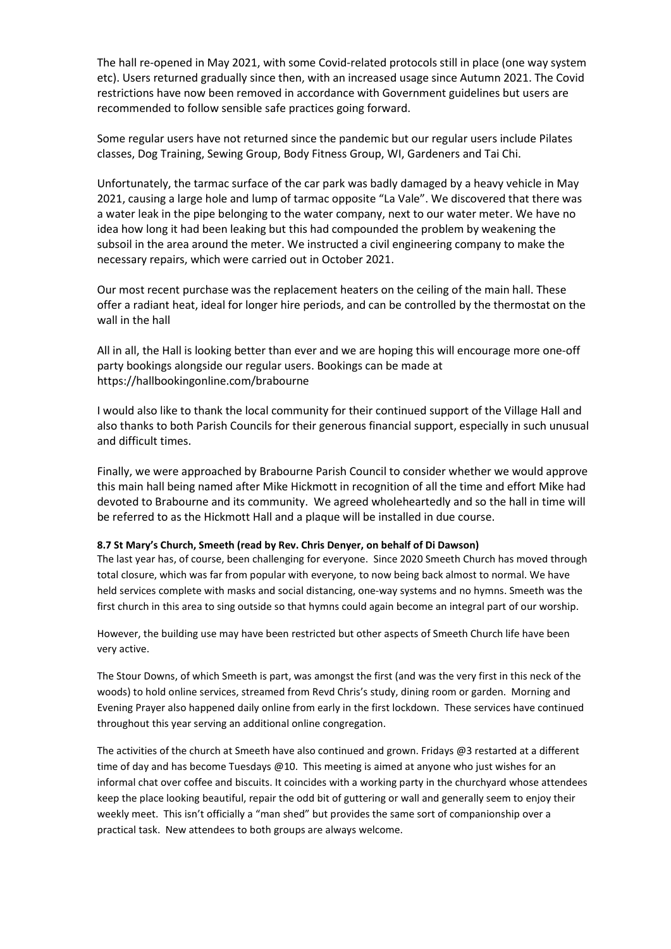The hall re-opened in May 2021, with some Covid-related protocols still in place (one way system etc). Users returned gradually since then, with an increased usage since Autumn 2021. The Covid restrictions have now been removed in accordance with Government guidelines but users are recommended to follow sensible safe practices going forward.

Some regular users have not returned since the pandemic but our regular users include Pilates classes, Dog Training, Sewing Group, Body Fitness Group, WI, Gardeners and Tai Chi.

Unfortunately, the tarmac surface of the car park was badly damaged by a heavy vehicle in May 2021, causing a large hole and lump of tarmac opposite "La Vale". We discovered that there was a water leak in the pipe belonging to the water company, next to our water meter. We have no idea how long it had been leaking but this had compounded the problem by weakening the subsoil in the area around the meter. We instructed a civil engineering company to make the necessary repairs, which were carried out in October 2021.

Our most recent purchase was the replacement heaters on the ceiling of the main hall. These offer a radiant heat, ideal for longer hire periods, and can be controlled by the thermostat on the wall in the hall

All in all, the Hall is looking better than ever and we are hoping this will encourage more one-off party bookings alongside our regular users. Bookings can be made at https://hallbookingonline.com/brabourne

I would also like to thank the local community for their continued support of the Village Hall and also thanks to both Parish Councils for their generous financial support, especially in such unusual and difficult times.

Finally, we were approached by Brabourne Parish Council to consider whether we would approve this main hall being named after Mike Hickmott in recognition of all the time and effort Mike had devoted to Brabourne and its community. We agreed wholeheartedly and so the hall in time will be referred to as the Hickmott Hall and a plaque will be installed in due course.

## 8.7 St Mary's Church, Smeeth (read by Rev. Chris Denyer, on behalf of Di Dawson)

The last year has, of course, been challenging for everyone. Since 2020 Smeeth Church has moved through total closure, which was far from popular with everyone, to now being back almost to normal. We have held services complete with masks and social distancing, one-way systems and no hymns. Smeeth was the first church in this area to sing outside so that hymns could again become an integral part of our worship.

However, the building use may have been restricted but other aspects of Smeeth Church life have been very active.

The Stour Downs, of which Smeeth is part, was amongst the first (and was the very first in this neck of the woods) to hold online services, streamed from Revd Chris's study, dining room or garden. Morning and Evening Prayer also happened daily online from early in the first lockdown. These services have continued throughout this year serving an additional online congregation.

The activities of the church at Smeeth have also continued and grown. Fridays @3 restarted at a different time of day and has become Tuesdays @10. This meeting is aimed at anyone who just wishes for an informal chat over coffee and biscuits. It coincides with a working party in the churchyard whose attendees keep the place looking beautiful, repair the odd bit of guttering or wall and generally seem to enjoy their weekly meet. This isn't officially a "man shed" but provides the same sort of companionship over a practical task. New attendees to both groups are always welcome.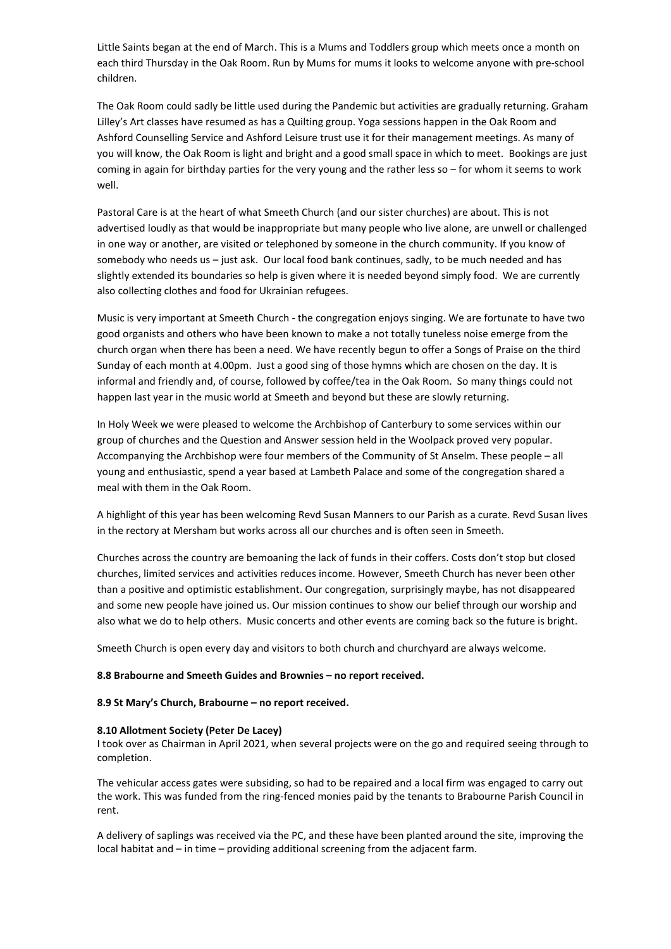Little Saints began at the end of March. This is a Mums and Toddlers group which meets once a month on each third Thursday in the Oak Room. Run by Mums for mums it looks to welcome anyone with pre-school children.

The Oak Room could sadly be little used during the Pandemic but activities are gradually returning. Graham Lilley's Art classes have resumed as has a Quilting group. Yoga sessions happen in the Oak Room and Ashford Counselling Service and Ashford Leisure trust use it for their management meetings. As many of you will know, the Oak Room is light and bright and a good small space in which to meet. Bookings are just coming in again for birthday parties for the very young and the rather less so – for whom it seems to work well.

Pastoral Care is at the heart of what Smeeth Church (and our sister churches) are about. This is not advertised loudly as that would be inappropriate but many people who live alone, are unwell or challenged in one way or another, are visited or telephoned by someone in the church community. If you know of somebody who needs us – just ask. Our local food bank continues, sadly, to be much needed and has slightly extended its boundaries so help is given where it is needed beyond simply food. We are currently also collecting clothes and food for Ukrainian refugees.

Music is very important at Smeeth Church - the congregation enjoys singing. We are fortunate to have two good organists and others who have been known to make a not totally tuneless noise emerge from the church organ when there has been a need. We have recently begun to offer a Songs of Praise on the third Sunday of each month at 4.00pm. Just a good sing of those hymns which are chosen on the day. It is informal and friendly and, of course, followed by coffee/tea in the Oak Room. So many things could not happen last year in the music world at Smeeth and beyond but these are slowly returning.

In Holy Week we were pleased to welcome the Archbishop of Canterbury to some services within our group of churches and the Question and Answer session held in the Woolpack proved very popular. Accompanying the Archbishop were four members of the Community of St Anselm. These people – all young and enthusiastic, spend a year based at Lambeth Palace and some of the congregation shared a meal with them in the Oak Room.

A highlight of this year has been welcoming Revd Susan Manners to our Parish as a curate. Revd Susan lives in the rectory at Mersham but works across all our churches and is often seen in Smeeth.

Churches across the country are bemoaning the lack of funds in their coffers. Costs don't stop but closed churches, limited services and activities reduces income. However, Smeeth Church has never been other than a positive and optimistic establishment. Our congregation, surprisingly maybe, has not disappeared and some new people have joined us. Our mission continues to show our belief through our worship and also what we do to help others. Music concerts and other events are coming back so the future is bright.

Smeeth Church is open every day and visitors to both church and churchyard are always welcome.

#### 8.8 Brabourne and Smeeth Guides and Brownies – no report received.

## 8.9 St Mary's Church, Brabourne – no report received.

#### 8.10 Allotment Society (Peter De Lacey)

I took over as Chairman in April 2021, when several projects were on the go and required seeing through to completion.

The vehicular access gates were subsiding, so had to be repaired and a local firm was engaged to carry out the work. This was funded from the ring-fenced monies paid by the tenants to Brabourne Parish Council in rent.

A delivery of saplings was received via the PC, and these have been planted around the site, improving the local habitat and – in time – providing additional screening from the adjacent farm.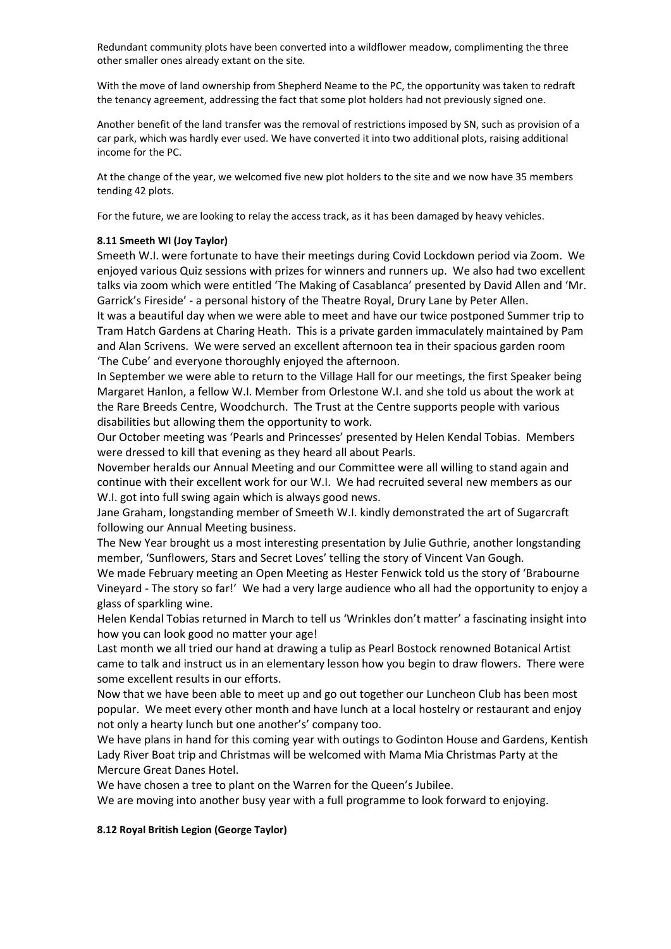Redundant community plots have been converted into a wildflower meadow, complimenting the three other smaller ones already extant on the site.

With the move of land ownership from Shepherd Neame to the PC, the opportunity was taken to redraft the tenancy agreement, addressing the fact that some plot holders had not previously signed one.

Another benefit of the land transfer was the removal of restrictions imposed by SN, such as provision of a car park, which was hardly ever used. We have converted it into two additional plots, raising additional income for the PC.

At the change of the year, we welcomed five new plot holders to the site and we now have 35 members tending 42 plots.

For the future, we are looking to relay the access track, as it has been damaged by heavy vehicles.

## 8.11 Smeeth WI (Joy Taylor)

Smeeth W.I. were fortunate to have their meetings during Covid Lockdown period via Zoom. We enjoyed various Quiz sessions with prizes for winners and runners up. We also had two excellent talks via zoom which were entitled 'The Making of Casablanca' presented by David Allen and 'Mr. Garrick's Fireside' - a personal history of the Theatre Royal, Drury Lane by Peter Allen.

It was a beautiful day when we were able to meet and have our twice postponed Summer trip to Tram Hatch Gardens at Charing Heath. This is a private garden immaculately maintained by Pam and Alan Scrivens. We were served an excellent afternoon tea in their spacious garden room 'The Cube' and everyone thoroughly enjoyed the afternoon.

In September we were able to return to the Village Hall for our meetings, the first Speaker being Margaret Hanlon, a fellow W.I. Member from Orlestone W.I. and she told us about the work at the Rare Breeds Centre, Woodchurch. The Trust at the Centre supports people with various disabilities but allowing them the opportunity to work.

Our October meeting was 'Pearls and Princesses' presented by Helen Kendal Tobias. Members were dressed to kill that evening as they heard all about Pearls.

November heralds our Annual Meeting and our Committee were all willing to stand again and continue with their excellent work for our W.I. We had recruited several new members as our W.I. got into full swing again which is always good news.

Jane Graham, longstanding member of Smeeth W.I. kindly demonstrated the art of Sugarcraft following our Annual Meeting business.

The New Year brought us a most interesting presentation by Julie Guthrie, another longstanding member, 'Sunflowers, Stars and Secret Loves' telling the story of Vincent Van Gough.

We made February meeting an Open Meeting as Hester Fenwick told us the story of 'Brabourne Vineyard - The story so far!' We had a very large audience who all had the opportunity to enjoy a glass of sparkling wine.

Helen Kendal Tobias returned in March to tell us 'Wrinkles don't matter' a fascinating insight into how you can look good no matter your age!

Last month we all tried our hand at drawing a tulip as Pearl Bostock renowned Botanical Artist came to talk and instruct us in an elementary lesson how you begin to draw flowers. There were some excellent results in our efforts.

Now that we have been able to meet up and go out together our Luncheon Club has been most popular. We meet every other month and have lunch at a local hostelry or restaurant and enjoy not only a hearty lunch but one another's' company too.

We have plans in hand for this coming year with outings to Godinton House and Gardens, Kentish Lady River Boat trip and Christmas will be welcomed with Mama Mia Christmas Party at the Mercure Great Danes Hotel.

We have chosen a tree to plant on the Warren for the Queen's Jubilee.

We are moving into another busy year with a full programme to look forward to enjoying.

## 8.12 Royal British Legion (George Taylor)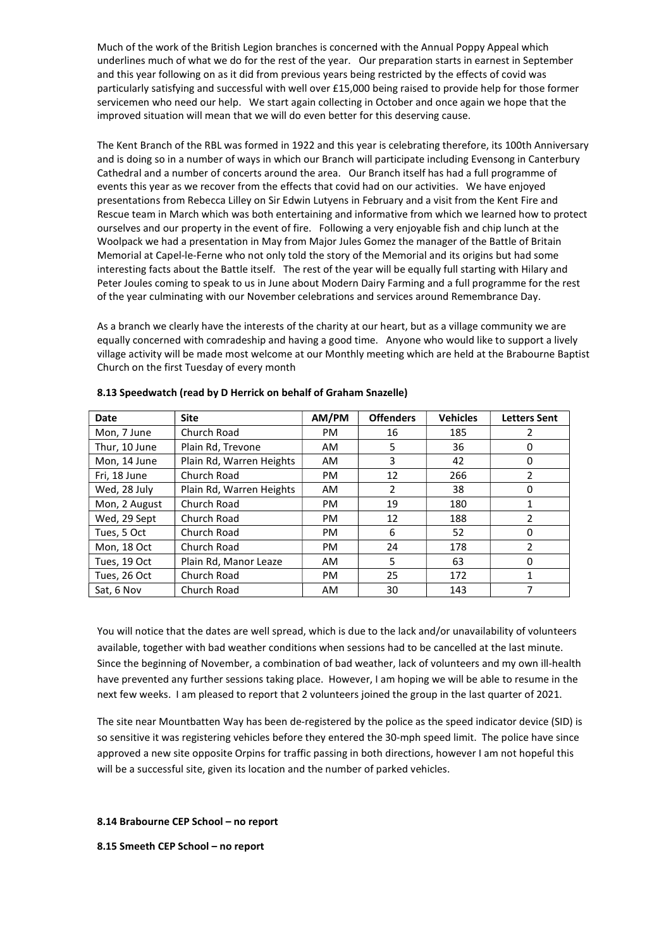Much of the work of the British Legion branches is concerned with the Annual Poppy Appeal which underlines much of what we do for the rest of the year. Our preparation starts in earnest in September and this year following on as it did from previous years being restricted by the effects of covid was particularly satisfying and successful with well over £15,000 being raised to provide help for those former servicemen who need our help. We start again collecting in October and once again we hope that the improved situation will mean that we will do even better for this deserving cause.

The Kent Branch of the RBL was formed in 1922 and this year is celebrating therefore, its 100th Anniversary and is doing so in a number of ways in which our Branch will participate including Evensong in Canterbury Cathedral and a number of concerts around the area. Our Branch itself has had a full programme of events this year as we recover from the effects that covid had on our activities. We have enjoyed presentations from Rebecca Lilley on Sir Edwin Lutyens in February and a visit from the Kent Fire and Rescue team in March which was both entertaining and informative from which we learned how to protect ourselves and our property in the event of fire. Following a very enjoyable fish and chip lunch at the Woolpack we had a presentation in May from Major Jules Gomez the manager of the Battle of Britain Memorial at Capel-le-Ferne who not only told the story of the Memorial and its origins but had some interesting facts about the Battle itself. The rest of the year will be equally full starting with Hilary and Peter Joules coming to speak to us in June about Modern Dairy Farming and a full programme for the rest of the year culminating with our November celebrations and services around Remembrance Day.

As a branch we clearly have the interests of the charity at our heart, but as a village community we are equally concerned with comradeship and having a good time. Anyone who would like to support a lively village activity will be made most welcome at our Monthly meeting which are held at the Brabourne Baptist Church on the first Tuesday of every month

| Date          | <b>Site</b>              | AM/PM     | <b>Offenders</b> | <b>Vehicles</b> | <b>Letters Sent</b> |
|---------------|--------------------------|-----------|------------------|-----------------|---------------------|
| Mon, 7 June   | Church Road              | PM.       | 16               | 185             | 2                   |
| Thur, 10 June | Plain Rd, Trevone        | AM.       | 5                | 36              | 0                   |
| Mon, 14 June  | Plain Rd, Warren Heights | AM.       | 3                | 42              | 0                   |
| Fri, 18 June  | Church Road              | <b>PM</b> | 12               | 266             | 2                   |
| Wed, 28 July  | Plain Rd, Warren Heights | <b>AM</b> | $\overline{2}$   | 38              | 0                   |
| Mon, 2 August | Church Road              | PM.       | 19               | 180             | 1                   |
| Wed, 29 Sept  | Church Road              | <b>PM</b> | 12               | 188             | 2                   |
| Tues, 5 Oct   | Church Road              | <b>PM</b> | 6                | 52              | 0                   |
| Mon, 18 Oct   | Church Road              | <b>PM</b> | 24               | 178             | 2                   |
| Tues, 19 Oct  | Plain Rd, Manor Leaze    | <b>AM</b> | 5                | 63              | 0                   |
| Tues, 26 Oct  | Church Road              | PM.       | 25               | 172             | 1                   |
| Sat. 6 Nov    | Church Road              | <b>AM</b> | 30               | 143             |                     |

## 8.13 Speedwatch (read by D Herrick on behalf of Graham Snazelle)

You will notice that the dates are well spread, which is due to the lack and/or unavailability of volunteers available, together with bad weather conditions when sessions had to be cancelled at the last minute. Since the beginning of November, a combination of bad weather, lack of volunteers and my own ill-health have prevented any further sessions taking place. However, I am hoping we will be able to resume in the next few weeks. I am pleased to report that 2 volunteers joined the group in the last quarter of 2021.

The site near Mountbatten Way has been de-registered by the police as the speed indicator device (SID) is so sensitive it was registering vehicles before they entered the 30-mph speed limit. The police have since approved a new site opposite Orpins for traffic passing in both directions, however I am not hopeful this will be a successful site, given its location and the number of parked vehicles.

#### 8.14 Brabourne CEP School – no report

8.15 Smeeth CEP School – no report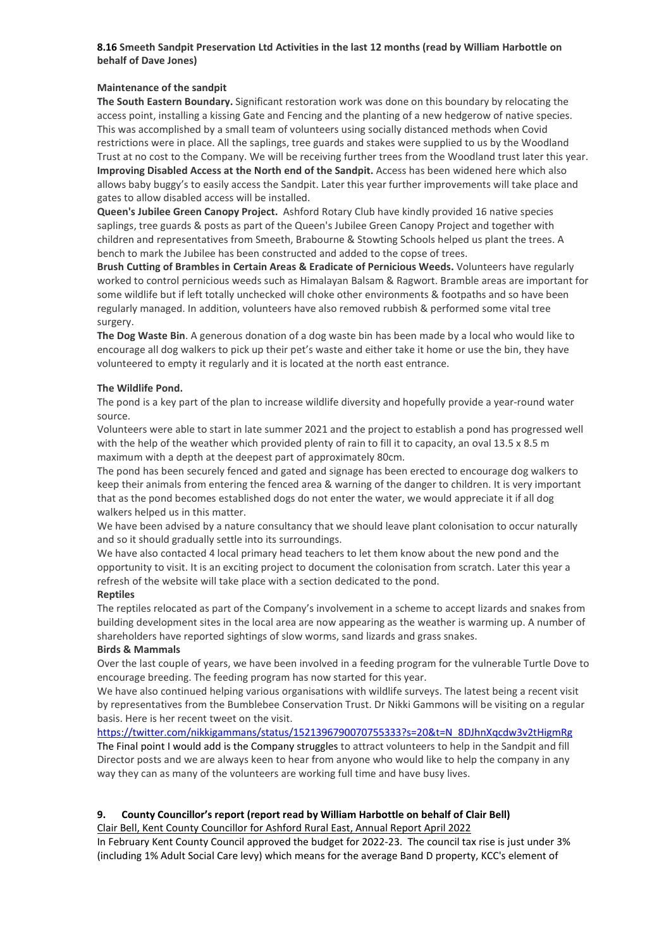## 8.16 Smeeth Sandpit Preservation Ltd Activities in the last 12 months (read by William Harbottle on behalf of Dave Jones)

## Maintenance of the sandpit

The South Eastern Boundary. Significant restoration work was done on this boundary by relocating the access point, installing a kissing Gate and Fencing and the planting of a new hedgerow of native species. This was accomplished by a small team of volunteers using socially distanced methods when Covid restrictions were in place. All the saplings, tree guards and stakes were supplied to us by the Woodland Trust at no cost to the Company. We will be receiving further trees from the Woodland trust later this year. Improving Disabled Access at the North end of the Sandpit. Access has been widened here which also allows baby buggy's to easily access the Sandpit. Later this year further improvements will take place and gates to allow disabled access will be installed.

Queen's Jubilee Green Canopy Project. Ashford Rotary Club have kindly provided 16 native species saplings, tree guards & posts as part of the Queen's Jubilee Green Canopy Project and together with children and representatives from Smeeth, Brabourne & Stowting Schools helped us plant the trees. A bench to mark the Jubilee has been constructed and added to the copse of trees.

Brush Cutting of Brambles in Certain Areas & Eradicate of Pernicious Weeds. Volunteers have regularly worked to control pernicious weeds such as Himalayan Balsam & Ragwort. Bramble areas are important for some wildlife but if left totally unchecked will choke other environments & footpaths and so have been regularly managed. In addition, volunteers have also removed rubbish & performed some vital tree surgery.

The Dog Waste Bin. A generous donation of a dog waste bin has been made by a local who would like to encourage all dog walkers to pick up their pet's waste and either take it home or use the bin, they have volunteered to empty it regularly and it is located at the north east entrance.

## The Wildlife Pond.

The pond is a key part of the plan to increase wildlife diversity and hopefully provide a year-round water source.

Volunteers were able to start in late summer 2021 and the project to establish a pond has progressed well with the help of the weather which provided plenty of rain to fill it to capacity, an oval 13.5 x 8.5 m maximum with a depth at the deepest part of approximately 80cm.

The pond has been securely fenced and gated and signage has been erected to encourage dog walkers to keep their animals from entering the fenced area & warning of the danger to children. It is very important that as the pond becomes established dogs do not enter the water, we would appreciate it if all dog walkers helped us in this matter.

We have been advised by a nature consultancy that we should leave plant colonisation to occur naturally and so it should gradually settle into its surroundings.

We have also contacted 4 local primary head teachers to let them know about the new pond and the opportunity to visit. It is an exciting project to document the colonisation from scratch. Later this year a refresh of the website will take place with a section dedicated to the pond.

## Reptiles

The reptiles relocated as part of the Company's involvement in a scheme to accept lizards and snakes from building development sites in the local area are now appearing as the weather is warming up. A number of shareholders have reported sightings of slow worms, sand lizards and grass snakes.

## Birds & Mammals

Over the last couple of years, we have been involved in a feeding program for the vulnerable Turtle Dove to encourage breeding. The feeding program has now started for this year.

We have also continued helping various organisations with wildlife surveys. The latest being a recent visit by representatives from the Bumblebee Conservation Trust. Dr Nikki Gammons will be visiting on a regular basis. Here is her recent tweet on the visit.

https://twitter.com/nikkigammans/status/1521396790070755333?s=20&t=N\_8DJhnXqcdw3v2tHigmRg The Final point I would add is the Company struggles to attract volunteers to help in the Sandpit and fill Director posts and we are always keen to hear from anyone who would like to help the company in any way they can as many of the volunteers are working full time and have busy lives.

## 9. County Councillor's report (report read by William Harbottle on behalf of Clair Bell)

## Clair Bell, Kent County Councillor for Ashford Rural East, Annual Report April 2022

In February Kent County Council approved the budget for 2022-23. The council tax rise is just under 3% (including 1% Adult Social Care levy) which means for the average Band D property, KCC's element of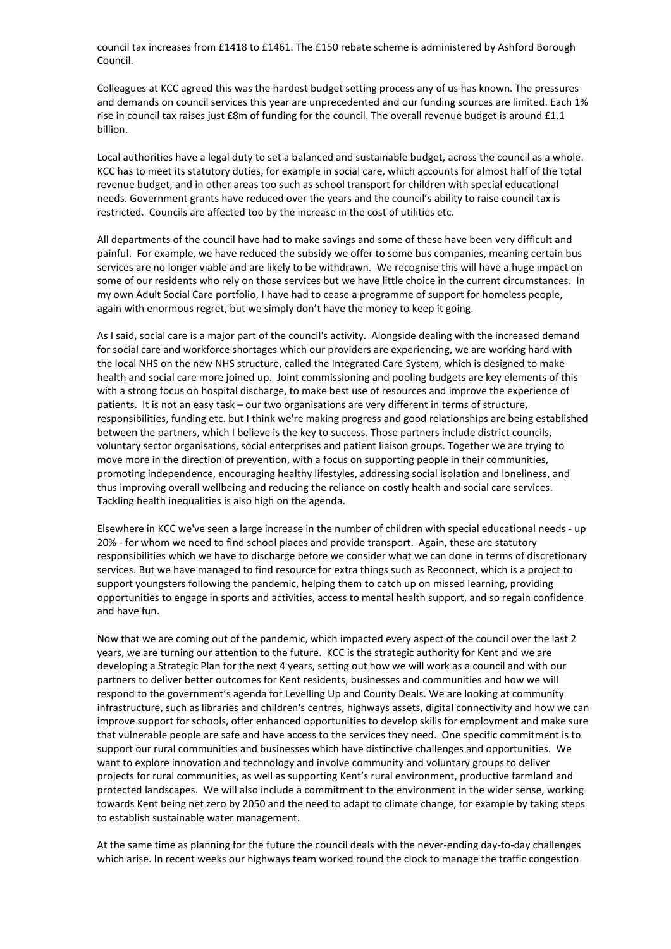council tax increases from £1418 to £1461. The £150 rebate scheme is administered by Ashford Borough Council.

Colleagues at KCC agreed this was the hardest budget setting process any of us has known. The pressures and demands on council services this year are unprecedented and our funding sources are limited. Each 1% rise in council tax raises just £8m of funding for the council. The overall revenue budget is around £1.1 billion.

Local authorities have a legal duty to set a balanced and sustainable budget, across the council as a whole. KCC has to meet its statutory duties, for example in social care, which accounts for almost half of the total revenue budget, and in other areas too such as school transport for children with special educational needs. Government grants have reduced over the years and the council's ability to raise council tax is restricted. Councils are affected too by the increase in the cost of utilities etc.

All departments of the council have had to make savings and some of these have been very difficult and painful. For example, we have reduced the subsidy we offer to some bus companies, meaning certain bus services are no longer viable and are likely to be withdrawn. We recognise this will have a huge impact on some of our residents who rely on those services but we have little choice in the current circumstances. In my own Adult Social Care portfolio, I have had to cease a programme of support for homeless people, again with enormous regret, but we simply don't have the money to keep it going.

As I said, social care is a major part of the council's activity. Alongside dealing with the increased demand for social care and workforce shortages which our providers are experiencing, we are working hard with the local NHS on the new NHS structure, called the Integrated Care System, which is designed to make health and social care more joined up. Joint commissioning and pooling budgets are key elements of this with a strong focus on hospital discharge, to make best use of resources and improve the experience of patients. It is not an easy task – our two organisations are very different in terms of structure, responsibilities, funding etc. but I think we're making progress and good relationships are being established between the partners, which I believe is the key to success. Those partners include district councils, voluntary sector organisations, social enterprises and patient liaison groups. Together we are trying to move more in the direction of prevention, with a focus on supporting people in their communities, promoting independence, encouraging healthy lifestyles, addressing social isolation and loneliness, and thus improving overall wellbeing and reducing the reliance on costly health and social care services. Tackling health inequalities is also high on the agenda.

Elsewhere in KCC we've seen a large increase in the number of children with special educational needs - up 20% - for whom we need to find school places and provide transport. Again, these are statutory responsibilities which we have to discharge before we consider what we can done in terms of discretionary services. But we have managed to find resource for extra things such as Reconnect, which is a project to support youngsters following the pandemic, helping them to catch up on missed learning, providing opportunities to engage in sports and activities, access to mental health support, and so regain confidence and have fun.

Now that we are coming out of the pandemic, which impacted every aspect of the council over the last 2 years, we are turning our attention to the future. KCC is the strategic authority for Kent and we are developing a Strategic Plan for the next 4 years, setting out how we will work as a council and with our partners to deliver better outcomes for Kent residents, businesses and communities and how we will respond to the government's agenda for Levelling Up and County Deals. We are looking at community infrastructure, such as libraries and children's centres, highways assets, digital connectivity and how we can improve support for schools, offer enhanced opportunities to develop skills for employment and make sure that vulnerable people are safe and have access to the services they need. One specific commitment is to support our rural communities and businesses which have distinctive challenges and opportunities. We want to explore innovation and technology and involve community and voluntary groups to deliver projects for rural communities, as well as supporting Kent's rural environment, productive farmland and protected landscapes. We will also include a commitment to the environment in the wider sense, working towards Kent being net zero by 2050 and the need to adapt to climate change, for example by taking steps to establish sustainable water management.

At the same time as planning for the future the council deals with the never-ending day-to-day challenges which arise. In recent weeks our highways team worked round the clock to manage the traffic congestion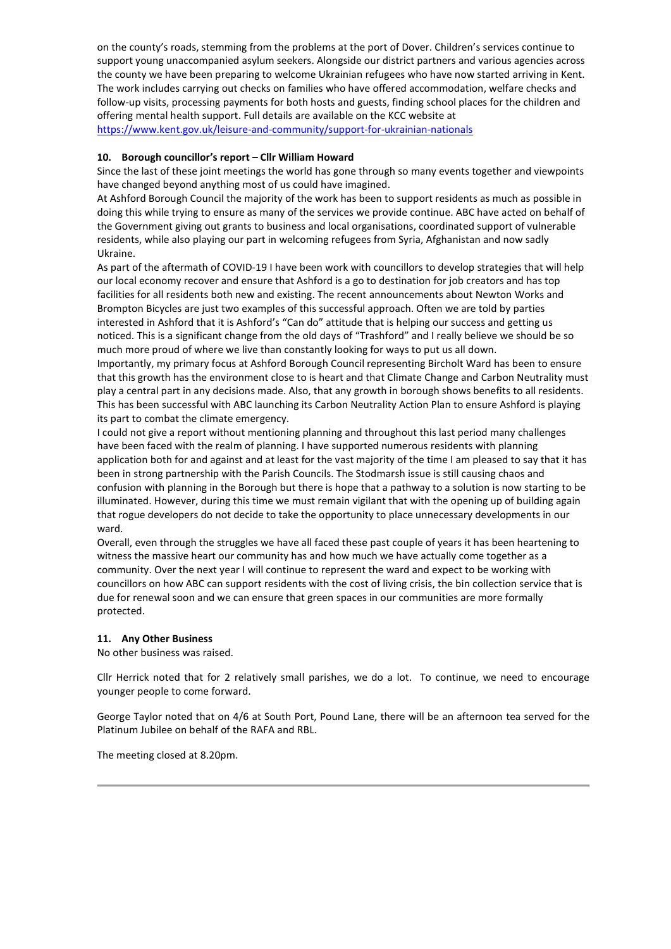on the county's roads, stemming from the problems at the port of Dover. Children's services continue to support young unaccompanied asylum seekers. Alongside our district partners and various agencies across the county we have been preparing to welcome Ukrainian refugees who have now started arriving in Kent. The work includes carrying out checks on families who have offered accommodation, welfare checks and follow-up visits, processing payments for both hosts and guests, finding school places for the children and offering mental health support. Full details are available on the KCC website at

https://www.kent.gov.uk/leisure-and-community/support-for-ukrainian-nationals

#### 10. Borough councillor's report – Cllr William Howard

Since the last of these joint meetings the world has gone through so many events together and viewpoints have changed beyond anything most of us could have imagined.

At Ashford Borough Council the majority of the work has been to support residents as much as possible in doing this while trying to ensure as many of the services we provide continue. ABC have acted on behalf of the Government giving out grants to business and local organisations, coordinated support of vulnerable residents, while also playing our part in welcoming refugees from Syria, Afghanistan and now sadly Ukraine.

As part of the aftermath of COVID-19 I have been work with councillors to develop strategies that will help our local economy recover and ensure that Ashford is a go to destination for job creators and has top facilities for all residents both new and existing. The recent announcements about Newton Works and Brompton Bicycles are just two examples of this successful approach. Often we are told by parties interested in Ashford that it is Ashford's "Can do" attitude that is helping our success and getting us noticed. This is a significant change from the old days of "Trashford" and I really believe we should be so much more proud of where we live than constantly looking for ways to put us all down.

Importantly, my primary focus at Ashford Borough Council representing Bircholt Ward has been to ensure that this growth has the environment close to is heart and that Climate Change and Carbon Neutrality must play a central part in any decisions made. Also, that any growth in borough shows benefits to all residents. This has been successful with ABC launching its Carbon Neutrality Action Plan to ensure Ashford is playing its part to combat the climate emergency.

I could not give a report without mentioning planning and throughout this last period many challenges have been faced with the realm of planning. I have supported numerous residents with planning application both for and against and at least for the vast majority of the time I am pleased to say that it has been in strong partnership with the Parish Councils. The Stodmarsh issue is still causing chaos and confusion with planning in the Borough but there is hope that a pathway to a solution is now starting to be illuminated. However, during this time we must remain vigilant that with the opening up of building again that rogue developers do not decide to take the opportunity to place unnecessary developments in our ward.

Overall, even through the struggles we have all faced these past couple of years it has been heartening to witness the massive heart our community has and how much we have actually come together as a community. Over the next year I will continue to represent the ward and expect to be working with councillors on how ABC can support residents with the cost of living crisis, the bin collection service that is due for renewal soon and we can ensure that green spaces in our communities are more formally protected.

## 11. Any Other Business

No other business was raised.

Cllr Herrick noted that for 2 relatively small parishes, we do a lot. To continue, we need to encourage younger people to come forward.

George Taylor noted that on 4/6 at South Port, Pound Lane, there will be an afternoon tea served for the Platinum Jubilee on behalf of the RAFA and RBL.

The meeting closed at 8.20pm.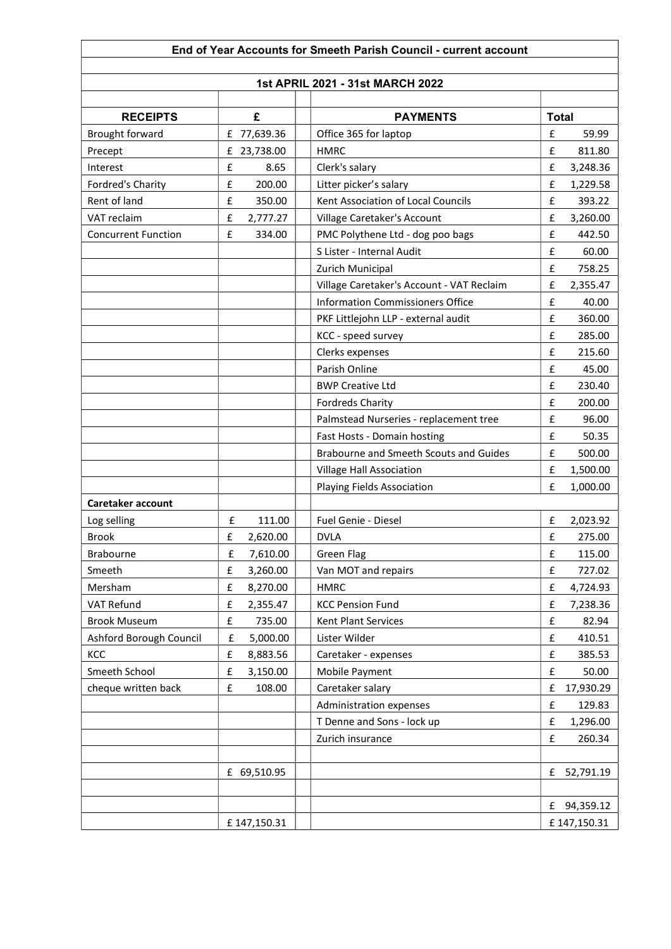| End of Year Accounts for Smeeth Parish Council - current account |                                |                                           |                                |  |  |  |  |
|------------------------------------------------------------------|--------------------------------|-------------------------------------------|--------------------------------|--|--|--|--|
|                                                                  |                                |                                           |                                |  |  |  |  |
| 1st APRIL 2021 - 31st MARCH 2022                                 |                                |                                           |                                |  |  |  |  |
|                                                                  |                                |                                           |                                |  |  |  |  |
| <b>RECEIPTS</b>                                                  | £                              | <b>PAYMENTS</b>                           | <b>Total</b>                   |  |  |  |  |
| Brought forward                                                  | £ 77,639.36                    | Office 365 for laptop                     | £<br>59.99<br>£                |  |  |  |  |
| Precept                                                          | £<br>23,738.00                 | <b>HMRC</b>                               | 811.80                         |  |  |  |  |
| Interest                                                         | £<br>8.65                      | Clerk's salary                            | £<br>3,248.36                  |  |  |  |  |
| Fordred's Charity                                                | £<br>200.00                    | Litter picker's salary                    | £<br>1,229.58                  |  |  |  |  |
| Rent of land                                                     | £<br>350.00                    | Kent Association of Local Councils        | £<br>393.22                    |  |  |  |  |
| VAT reclaim                                                      | £<br>2,777.27                  | Village Caretaker's Account               | £<br>3,260.00                  |  |  |  |  |
| <b>Concurrent Function</b>                                       | £<br>334.00                    | PMC Polythene Ltd - dog poo bags          | £<br>442.50                    |  |  |  |  |
|                                                                  |                                | S Lister - Internal Audit                 | £<br>60.00                     |  |  |  |  |
|                                                                  |                                | Zurich Municipal                          | £<br>758.25                    |  |  |  |  |
|                                                                  |                                | Village Caretaker's Account - VAT Reclaim | £<br>2,355.47                  |  |  |  |  |
|                                                                  |                                | <b>Information Commissioners Office</b>   | £<br>40.00                     |  |  |  |  |
|                                                                  |                                | PKF Littlejohn LLP - external audit       | £<br>360.00                    |  |  |  |  |
|                                                                  |                                | KCC - speed survey                        | £<br>285.00                    |  |  |  |  |
|                                                                  |                                | Clerks expenses                           | £<br>215.60                    |  |  |  |  |
|                                                                  |                                | Parish Online                             | £<br>45.00                     |  |  |  |  |
|                                                                  |                                | <b>BWP Creative Ltd</b>                   | £<br>230.40                    |  |  |  |  |
|                                                                  |                                | <b>Fordreds Charity</b>                   | £<br>200.00                    |  |  |  |  |
|                                                                  |                                | Palmstead Nurseries - replacement tree    | £<br>96.00                     |  |  |  |  |
|                                                                  |                                | Fast Hosts - Domain hosting               | £<br>50.35                     |  |  |  |  |
|                                                                  |                                | Brabourne and Smeeth Scouts and Guides    | £<br>500.00                    |  |  |  |  |
|                                                                  |                                | Village Hall Association                  | £<br>1,500.00                  |  |  |  |  |
|                                                                  |                                | Playing Fields Association                | £<br>1,000.00                  |  |  |  |  |
| Caretaker account                                                |                                |                                           |                                |  |  |  |  |
| Log selling                                                      | £<br>111.00                    | Fuel Genie - Diesel                       | £<br>2,023.92                  |  |  |  |  |
| <b>Brook</b>                                                     | £<br>2,620.00                  | <b>DVLA</b>                               | £<br>275.00                    |  |  |  |  |
| Brabourne                                                        | 7,610.00<br>£                  | <b>Green Flag</b>                         | £<br>115.00                    |  |  |  |  |
| Smeeth                                                           | £<br>3,260.00                  | Van MOT and repairs                       | £<br>727.02                    |  |  |  |  |
| Mersham                                                          | $\pmb{\mathsf{f}}$<br>8,270.00 | <b>HMRC</b>                               | $\pmb{\mathsf{f}}$<br>4,724.93 |  |  |  |  |
| VAT Refund                                                       | £<br>2,355.47                  | <b>KCC Pension Fund</b>                   | $\pmb{\mathsf{f}}$<br>7,238.36 |  |  |  |  |
| <b>Brook Museum</b>                                              | $\pmb{\mathsf{f}}$<br>735.00   | Kent Plant Services                       | $\pmb{\mathsf{f}}$<br>82.94    |  |  |  |  |
| Ashford Borough Council                                          | $\pmb{\mathsf{f}}$<br>5,000.00 | Lister Wilder                             | £<br>410.51                    |  |  |  |  |
| KCC                                                              | £<br>8,883.56                  | Caretaker - expenses                      | £<br>385.53                    |  |  |  |  |
| Smeeth School                                                    | £<br>3,150.00                  | Mobile Payment                            | £<br>50.00                     |  |  |  |  |
| cheque written back                                              | $\pmb{\mathsf{f}}$<br>108.00   | Caretaker salary                          | 17,930.29<br>£                 |  |  |  |  |
|                                                                  |                                | Administration expenses                   | $\pmb{\mathsf{f}}$<br>129.83   |  |  |  |  |
|                                                                  |                                | T Denne and Sons - lock up                | £<br>1,296.00                  |  |  |  |  |
|                                                                  |                                | Zurich insurance                          | $\pmb{\mathsf{f}}$<br>260.34   |  |  |  |  |
|                                                                  |                                |                                           |                                |  |  |  |  |
|                                                                  | £ 69,510.95                    |                                           | £<br>52,791.19                 |  |  |  |  |
|                                                                  |                                |                                           |                                |  |  |  |  |
|                                                                  |                                |                                           | 94,359.12<br>£                 |  |  |  |  |
|                                                                  | £147,150.31                    |                                           | £147,150.31                    |  |  |  |  |